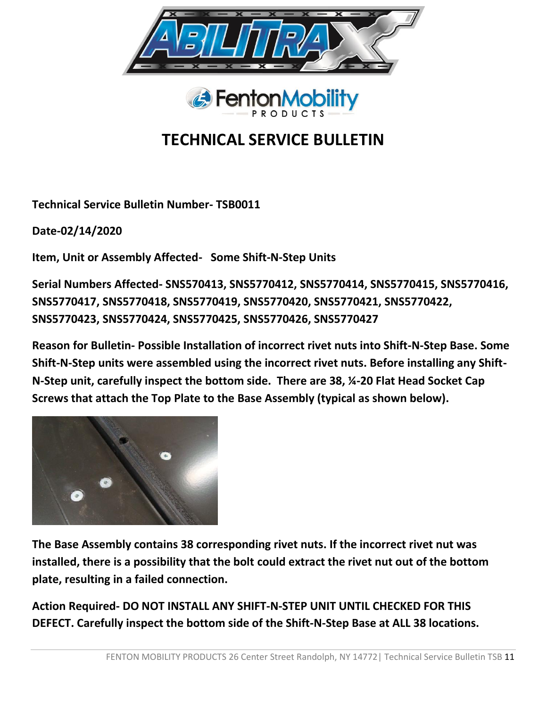



## **TECHNICAL SERVICE BULLETIN**

**Technical Service Bulletin Number- TSB0011**

**Date-02/14/2020**

**Item, Unit or Assembly Affected- Some Shift-N-Step Units**

**Serial Numbers Affected- SNS570413, SNS5770412, SNS5770414, SNS5770415, SNS5770416, SNS5770417, SNS5770418, SNS5770419, SNS5770420, SNS5770421, SNS5770422, SNS5770423, SNS5770424, SNS5770425, SNS5770426, SNS5770427**

**Reason for Bulletin- Possible Installation of incorrect rivet nuts into Shift-N-Step Base. Some Shift-N-Step units were assembled using the incorrect rivet nuts. Before installing any Shift-N-Step unit, carefully inspect the bottom side. There are 38, ¼-20 Flat Head Socket Cap Screws that attach the Top Plate to the Base Assembly (typical as shown below).**



**The Base Assembly contains 38 corresponding rivet nuts. If the incorrect rivet nut was installed, there is a possibility that the bolt could extract the rivet nut out of the bottom plate, resulting in a failed connection.** 

**Action Required- DO NOT INSTALL ANY SHIFT-N-STEP UNIT UNTIL CHECKED FOR THIS DEFECT. Carefully inspect the bottom side of the Shift-N-Step Base at ALL 38 locations.**